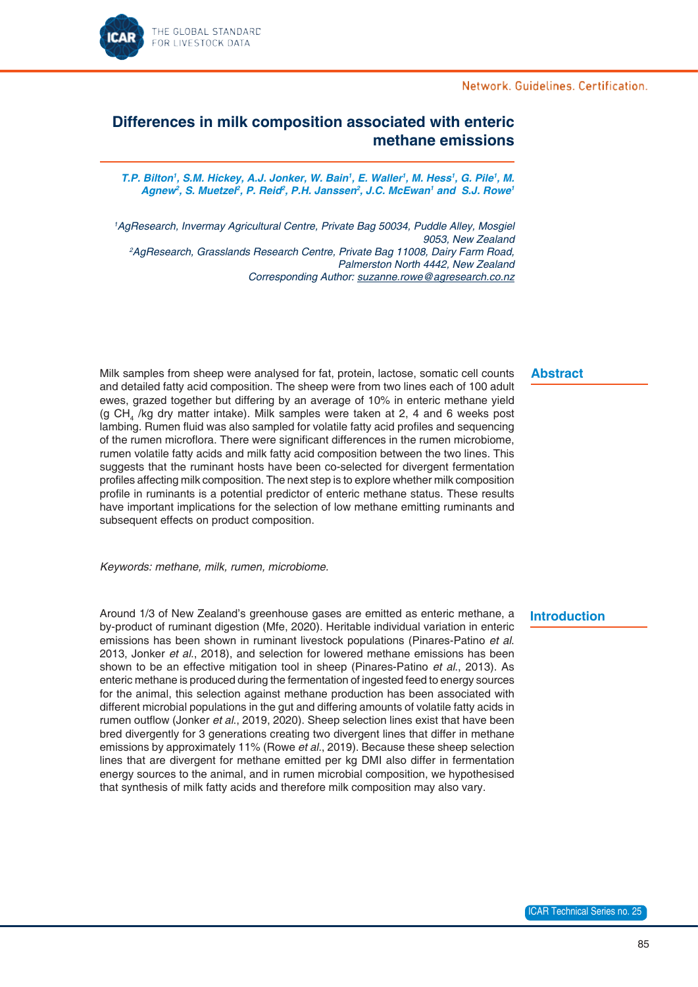## Network, Guidelines, Certification,



# **Differences in milk composition associated with enteric methane emissions**

*T.P. Bilton1* **, S.M. Hickey, A.J. Jonker, W. Bain***<sup>1</sup> , E. Waller1 , M. Hess1 , G. Pile1 , M.*  Agnew<sup>2</sup>, S. Muetzel<sup>2</sup>, P. Reid<sup>2</sup>, P.H. Janssen<sup>2</sup>, J.C. McEwan<sup>1</sup> and S.J. Rowe<sup>1</sup>

*1 AgResearch, Invermay Agricultural Centre, Private Bag 50034, Puddle Alley, Mosgiel 9053, New Zealand 2 AgResearch, Grasslands Research Centre, Private Bag 11008, Dairy Farm Road, Palmerston North 4442, New Zealand Corresponding Author: suzanne.rowe@agresearch.co.nz*

#### **Abstract**

Milk samples from sheep were analysed for fat, protein, lactose, somatic cell counts and detailed fatty acid composition. The sheep were from two lines each of 100 adult ewes, grazed together but differing by an average of 10% in enteric methane yield (g CH<sub>4</sub> /kg dry matter intake). Milk samples were taken at 2, 4 and 6 weeks post lambing. Rumen fluid was also sampled for volatile fatty acid profiles and sequencing of the rumen microflora. There were significant differences in the rumen microbiome, rumen volatile fatty acids and milk fatty acid composition between the two lines. This suggests that the ruminant hosts have been co-selected for divergent fermentation profiles affecting milk composition. The next step is to explore whether milk composition profile in ruminants is a potential predictor of enteric methane status. These results have important implications for the selection of low methane emitting ruminants and subsequent effects on product composition.

*Keywords: methane, milk, rumen, microbiome.*

Around 1/3 of New Zealand's greenhouse gases are emitted as enteric methane, a by-product of ruminant digestion (Mfe, 2020). Heritable individual variation in enteric emissions has been shown in ruminant livestock populations (Pinares-Patino *et al*. 2013, Jonker *et al*., 2018), and selection for lowered methane emissions has been shown to be an effective mitigation tool in sheep (Pinares-Patino *et al*., 2013). As enteric methane is produced during the fermentation of ingested feed to energy sources for the animal, this selection against methane production has been associated with different microbial populations in the gut and differing amounts of volatile fatty acids in rumen outflow (Jonker *et al*., 2019, 2020). Sheep selection lines exist that have been bred divergently for 3 generations creating two divergent lines that differ in methane emissions by approximately 11% (Rowe *et al*., 2019). Because these sheep selection lines that are divergent for methane emitted per kg DMI also differ in fermentation energy sources to the animal, and in rumen microbial composition, we hypothesised that synthesis of milk fatty acids and therefore milk composition may also vary.

### **Introduction**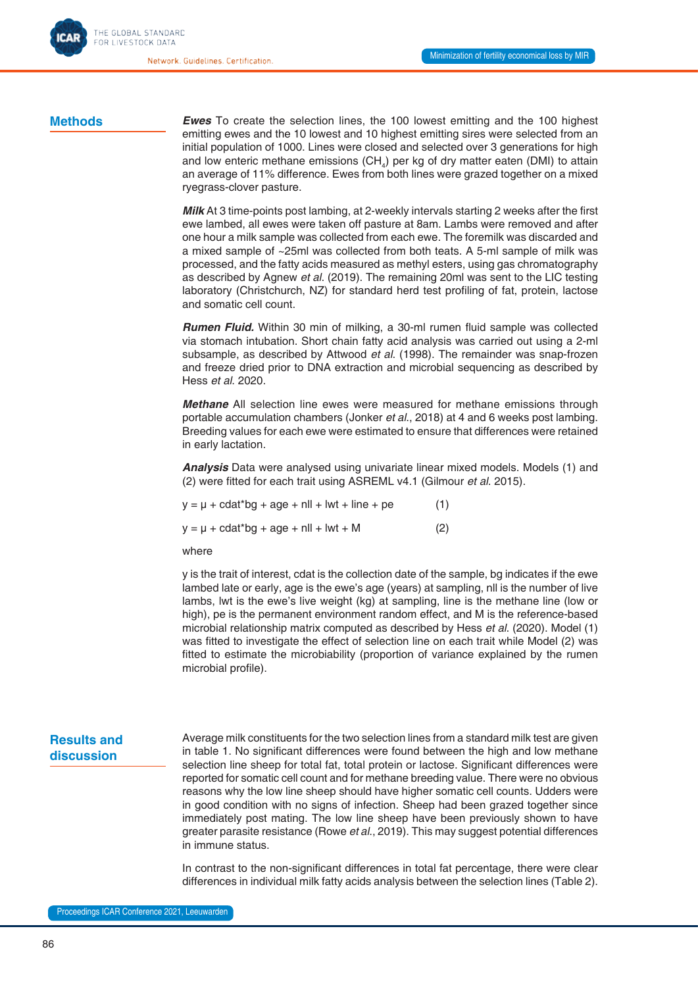Network, Guidelines, Certification

### **Methods**

*Ewes* To create the selection lines, the 100 lowest emitting and the 100 highest emitting ewes and the 10 lowest and 10 highest emitting sires were selected from an initial population of 1000. Lines were closed and selected over 3 generations for high and low enteric methane emissions (CH<sub>4</sub>) per kg of dry matter eaten (DMI) to attain an average of 11% difference. Ewes from both lines were grazed together on a mixed ryegrass-clover pasture.

*Milk* At 3 time-points post lambing, at 2-weekly intervals starting 2 weeks after the first ewe lambed, all ewes were taken off pasture at 8am. Lambs were removed and after one hour a milk sample was collected from each ewe. The foremilk was discarded and a mixed sample of ~25ml was collected from both teats. A 5-ml sample of milk was processed, and the fatty acids measured as methyl esters, using gas chromatography as described by Agnew *et al*. (2019). The remaining 20ml was sent to the LIC testing laboratory (Christchurch, NZ) for standard herd test profiling of fat, protein, lactose and somatic cell count.

*Rumen Fluid.* Within 30 min of milking, a 30-ml rumen fluid sample was collected via stomach intubation. Short chain fatty acid analysis was carried out using a 2-ml subsample, as described by Attwood *et al*. (1998). The remainder was snap-frozen and freeze dried prior to DNA extraction and microbial sequencing as described by Hess *et al*. 2020.

*Methane* All selection line ewes were measured for methane emissions through portable accumulation chambers (Jonker *et al*., 2018) at 4 and 6 weeks post lambing. Breeding values for each ewe were estimated to ensure that differences were retained in early lactation.

**Analysis** Data were analysed using univariate linear mixed models. Models (1) and (2) were fitted for each trait using ASREML v4.1 (Gilmour *et al*. 2015).

| $y = \mu + \text{cdat}^{*}$ bg + age + nll + lwt + line + pe | (1) |
|--------------------------------------------------------------|-----|
| $y = \mu + \text{cdat}^*$ bg + age + nll + lwt + M           | (2) |

where

y is the trait of interest, cdat is the collection date of the sample, bg indicates if the ewe lambed late or early, age is the ewe's age (years) at sampling, nll is the number of live lambs, lwt is the ewe's live weight (kg) at sampling, line is the methane line (low or high), pe is the permanent environment random effect, and M is the reference-based microbial relationship matrix computed as described by Hess *et al*. (2020). Model (1) was fitted to investigate the effect of selection line on each trait while Model (2) was fitted to estimate the microbiability (proportion of variance explained by the rumen microbial profile).

## **Results and discussion**

Average milk constituents for the two selection lines from a standard milk test are given in table 1. No significant differences were found between the high and low methane selection line sheep for total fat, total protein or lactose. Significant differences were reported for somatic cell count and for methane breeding value. There were no obvious reasons why the low line sheep should have higher somatic cell counts. Udders were in good condition with no signs of infection. Sheep had been grazed together since immediately post mating. The low line sheep have been previously shown to have greater parasite resistance (Rowe *et al*., 2019). This may suggest potential differences in immune status.

In contrast to the non-significant differences in total fat percentage, there were clear differences in individual milk fatty acids analysis between the selection lines (Table 2).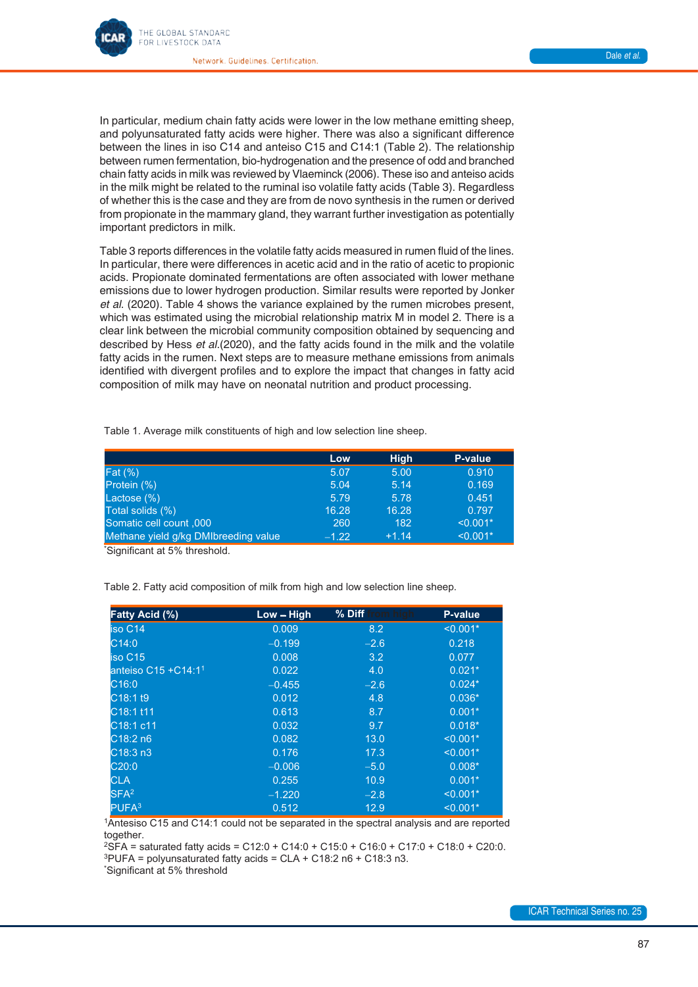

In particular, medium chain fatty acids were lower in the low methane emitting sheep, and polyunsaturated fatty acids were higher. There was also a significant difference between the lines in iso C14 and anteiso C15 and C14:1 (Table 2). The relationship between rumen fermentation, bio-hydrogenation and the presence of odd and branched chain fatty acids in milk was reviewed by Vlaeminck (2006). These iso and anteiso acids in the milk might be related to the ruminal iso volatile fatty acids (Table 3). Regardless of whether this is the case and they are from de novo synthesis in the rumen or derived from propionate in the mammary gland, they warrant further investigation as potentially important predictors in milk.

Table 3 reports differences in the volatile fatty acids measured in rumen fluid of the lines. In particular, there were differences in acetic acid and in the ratio of acetic to propionic acids. Propionate dominated fermentations are often associated with lower methane emissions due to lower hydrogen production. Similar results were reported by Jonker *et al*. (2020). Table 4 shows the variance explained by the rumen microbes present, which was estimated using the microbial relationship matrix M in model 2. There is a clear link between the microbial community composition obtained by sequencing and described by Hess *et al*.(2020), and the fatty acids found in the milk and the volatile fatty acids in the rumen. Next steps are to measure methane emissions from animals identified with divergent profiles and to explore the impact that changes in fatty acid composition of milk may have on neonatal nutrition and product processing.

Table 1. Average milk constituents of high and low selection line sheep.

|                                      | Low     | <b>High</b> | P-value    |
|--------------------------------------|---------|-------------|------------|
| Fat $(\%)$                           | 5.07    | 5.00        | 0.910      |
| Protein (%)                          | 5.04    | 5.14        | 0.169      |
| Lactose (%)                          | 5.79    | 5.78        | 0.451      |
| Total solids (%)                     | 16.28   | 16.28       | 0.797      |
| Somatic cell count ,000              | 260     | 182         | $< 0.001*$ |
| Methane yield g/kg DMIbreeding value | $-1.22$ | $+1.14$     | $< 0.001*$ |

\* Significant at 5% threshold.

Table 2. Fatty acid composition of milk from high and low selection line sheep.

| <b>Fatty Acid (%)</b>             | $Low - High$ | % Diff from high | P-value    |
|-----------------------------------|--------------|------------------|------------|
| iso C14                           | 0.009        | 8.2              | $< 0.001*$ |
| C14:0                             | $-0.199$     | $-2.6$           | 0.218      |
| iso C15                           | 0.008        | 3.2              | 0.077      |
| anteiso $C15 + C14:11$            | 0.022        | 4.0              | $0.021*$   |
| C16:0                             | $-0.455$     | $-2.6$           | $0.024*$   |
| C18:119                           | 0.012        | 4.8              | $0.036*$   |
| C18:1 t11                         | 0.613        | 8.7              | $0.001*$   |
| C <sub>18:1</sub> c <sub>11</sub> | 0.032        | 9.7              | $0.018*$   |
| C18:2n6                           | 0.082        | 13.0             | $< 0.001*$ |
| C18:3n3                           | 0.176        | 17.3             | $< 0.001*$ |
| C20:0                             | $-0.006$     | $-5.0$           | $0.008*$   |
| <b>CLA</b>                        | 0.255        | 10.9             | $0.001*$   |
| SFA <sup>2</sup>                  | $-1.220$     | $-2.8$           | $< 0.001*$ |
| PUFA <sup>3</sup>                 | 0.512        | 12.9             | $< 0.001*$ |

1Antesiso C15 and C14:1 could not be separated in the spectral analysis and are reported together.

 ${}^{2}$ SFA = saturated fatty acids = C12:0 + C14:0 + C15:0 + C16:0 + C17:0 + C18:0 + C20:0.  $3$ PUFA = polyunsaturated fatty acids = CLA + C18:2 n6 + C18:3 n3.

\* Significant at 5% threshold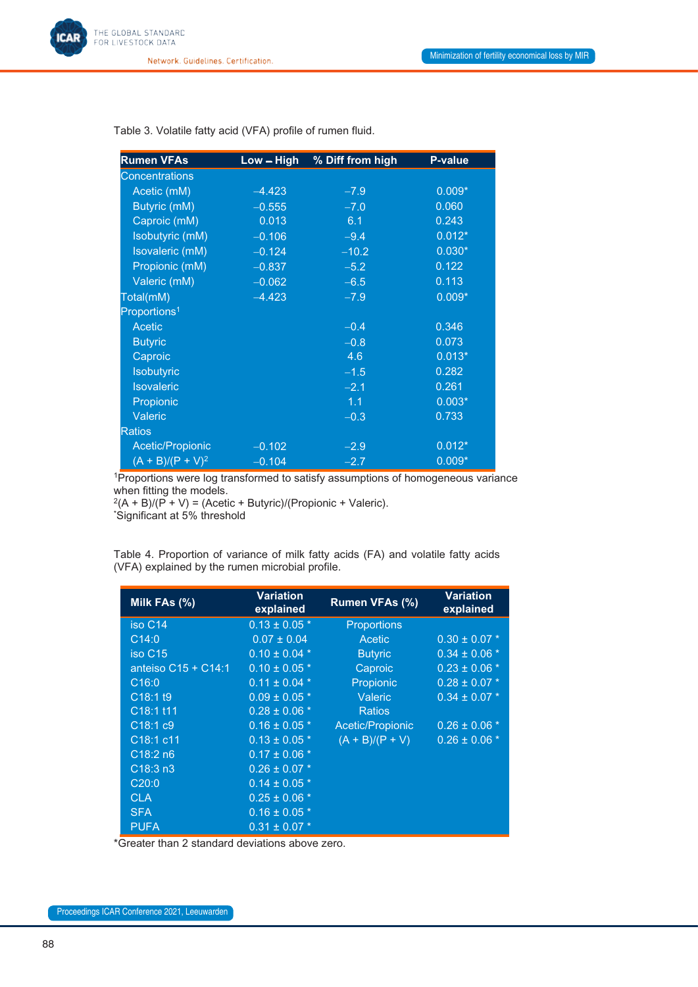

Network. Guidelines. Certification.

| <b>Rumen VFAs</b>        | Low - High | % Diff from high | <b>P-value</b> |
|--------------------------|------------|------------------|----------------|
| <b>Concentrations</b>    |            |                  |                |
| Acetic (mM)              | $-4.423$   | $-7.9$           | $0.009*$       |
| Butyric (mM)             | $-0.555$   | $-7.0$           | 0.060          |
| Caproic (mM)             | 0.013      | 6.1              | 0.243          |
| Isobutyric (mM)          | $-0.106$   | $-9.4$           | $0.012*$       |
| Isovaleric (mM)          | $-0.124$   | $-10.2$          | $0.030*$       |
| Propionic (mM)           | $-0.837$   | $-5.2$           | 0.122          |
| Valeric (mM)             | $-0.062$   | $-6.5$           | 0.113          |
| Total(mM)                | $-4.423$   | $-7.9$           | $0.009*$       |
| Proportions <sup>1</sup> |            |                  |                |
| Acetic                   |            | $-0.4$           | 0.346          |
| <b>Butyric</b>           |            | $-0.8$           | 0.073          |
| Caproic                  |            | 4.6              | $0.013*$       |
| Isobutyric               |            | $-1.5$           | 0.282          |
| <b>Isovaleric</b>        |            | $-2.1$           | 0.261          |
| Propionic                |            | 1.1              | $0.003*$       |
| Valeric                  |            | $-0.3$           | 0.733          |
| <b>Ratios</b>            |            |                  |                |
| Acetic/Propionic         | $-0.102$   | $-2.9$           | $0.012*$       |
| $(A + B)/(P + V)^2$      | $-0.104$   | $-2.7$           | $0.009*$       |

Table 3. Volatile fatty acid (VFA) profile of rumen fluid.

<sup>1</sup>Proportions were log transformed to satisfy assumptions of homogeneous variance when fitting the models.

 $^{2}(A + B)/(P + V) = (Acetic + Butyric)/(Propionic + Valeric).$ 

\* Significant at 5% threshold

Table 4. Proportion of variance of milk fatty acids (FA) and volatile fatty acids (VFA) explained by the rumen microbial profile.

| Milk FAs (%)                      | <b>Variation</b><br>explained | Rumen VFAs (%)    | <b>Variation</b><br>explained |
|-----------------------------------|-------------------------------|-------------------|-------------------------------|
| iso C <sub>14</sub>               | $0.13 \pm 0.05$ *             | Proportions       |                               |
| C14:0                             | $0.07 \pm 0.04$               | <b>Acetic</b>     | $0.30 \pm 0.07$ *             |
| iso C15                           | $0.10 \pm 0.04$ *             | <b>Butyric</b>    | $0.34 \pm 0.06$ *             |
| anteiso $C15 + C14:1$             | $0.10 \pm 0.05$ *             | Caproic           | $0.23 \pm 0.06$ *             |
| C16:0                             | $0.11 \pm 0.04$ *             | Propionic         | $0.28 \pm 0.07$ *             |
| C18:1 t9                          | $0.09 \pm 0.05$ *             | Valeric           | $0.34 \pm 0.07$ *             |
| C18:1 t11                         | $0.28 \pm 0.06$ *             | <b>Ratios</b>     |                               |
| $C$ 18:1 $C$ 9                    | $0.16 \pm 0.05$ *             | Acetic/Propionic  | $0.26 \pm 0.06$ *             |
| C <sub>18:1</sub> c <sub>11</sub> | $0.13 \pm 0.05$ *             | $(A + B)/(P + V)$ | $0.26 \pm 0.06$ *             |
| C18:2n6                           | $0.17 \pm 0.06$ *             |                   |                               |
| C18:3n3                           | $0.26 \pm 0.07$ *             |                   |                               |
| C20:0                             | $0.14 \pm 0.05$ *             |                   |                               |
| <b>CLA</b>                        | $0.25 \pm 0.06*$              |                   |                               |
| <b>SFA</b>                        | $0.16 \pm 0.05$ *             |                   |                               |
| <b>PUFA</b>                       | $0.31 \pm 0.07$ *             |                   |                               |

\*Greater than 2 standard deviations above zero.